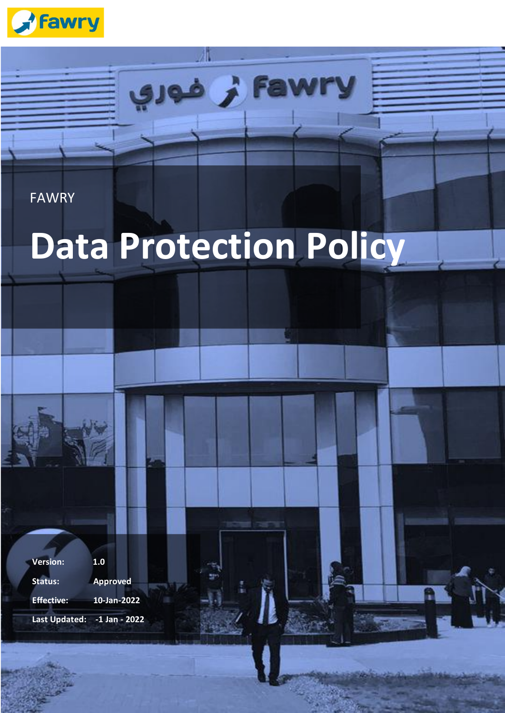

#### FAWRY

# **Data Protection Policy**

Fawr نر فوري

**Version: 1.0 Status: Approved Effective: 10-Jan-2022 Last Updated: -1 Jan - 2022**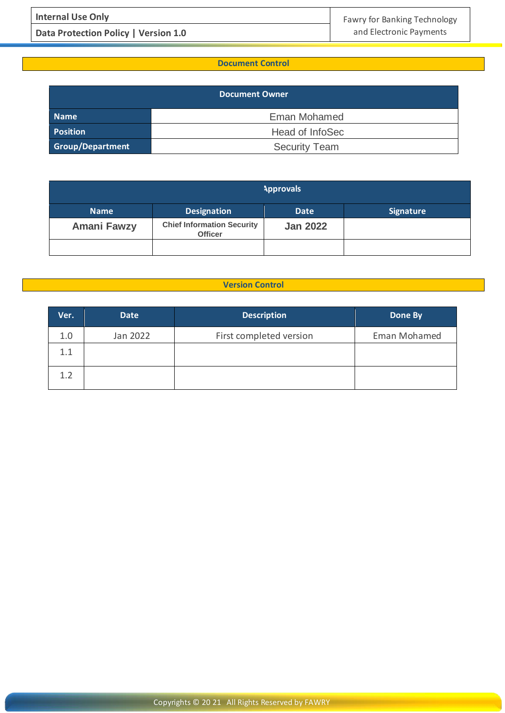**Data Protection Policy | Version 1.0 and Electronic Payments** 

#### **Document Control**

| <b>Document Owner</b> |                      |  |  |  |
|-----------------------|----------------------|--|--|--|
| Name                  | Eman Mohamed         |  |  |  |
| <b>Position</b>       | Head of InfoSec      |  |  |  |
| Group/Department      | <b>Security Team</b> |  |  |  |

| <b>Approvals</b>   |                                                     |                 |                  |  |  |
|--------------------|-----------------------------------------------------|-----------------|------------------|--|--|
| <b>Name</b>        | <b>Designation</b>                                  | <b>Date</b>     | <b>Signature</b> |  |  |
| <b>Amani Fawzy</b> | <b>Chief Information Security</b><br><b>Officer</b> | <b>Jan 2022</b> |                  |  |  |
|                    |                                                     |                 |                  |  |  |

#### **Version Control**

| Ver. | <b>Date</b> | <b>Description</b>      | Done By      |
|------|-------------|-------------------------|--------------|
| 1.0  | Jan 2022    | First completed version | Eman Mohamed |
| 1.1  |             |                         |              |
| 1.2  |             |                         |              |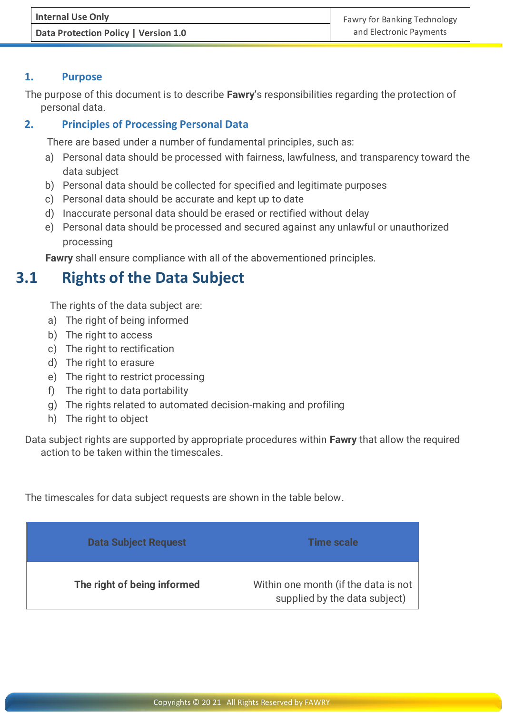#### **1. Purpose**

The purpose of this document is to describe **Fawry**'s responsibilities regarding the protection of personal data.

#### **2. Principles of Processing Personal Data**

There are based under a number of fundamental principles, such as:

- a) Personal data should be processed with fairness, lawfulness, and transparency toward the data subject
- b) Personal data should be collected for specified and legitimate purposes
- c) Personal data should be accurate and kept up to date
- d) Inaccurate personal data should be erased or rectified without delay
- e) Personal data should be processed and secured against any unlawful or unauthorized processing

**Fawry** shall ensure compliance with all of the abovementioned principles.

## **3.1 Rights of the Data Subject**

The rights of the data subject are:

- a) The right of being informed
- b) The right to access
- c) The right to rectification
- d) The right to erasure
- e) The right to restrict processing
- f) The right to data portability
- g) The rights related to automated decision-making and profiling
- h) The right to object

Data subject rights are supported by appropriate procedures within **Fawry** that allow the required action to be taken within the timescales.

The timescales for data subject requests are shown in the table below.

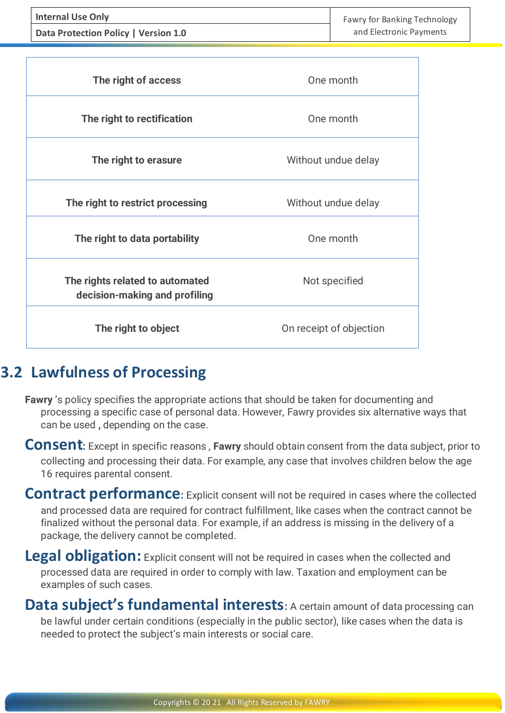**Data Protection Policy | Version 1.0 and Electronic Payments** 

| The right of access                                              | One month               |  |
|------------------------------------------------------------------|-------------------------|--|
| The right to rectification                                       | One month               |  |
| The right to erasure                                             | Without undue delay     |  |
| The right to restrict processing                                 | Without undue delay     |  |
| The right to data portability                                    | One month               |  |
| The rights related to automated<br>decision-making and profiling | Not specified           |  |
| The right to object                                              | On receipt of objection |  |

## **3.2 Lawfulness of Processing**

**Fawry** 's policy specifies the appropriate actions that should be taken for documenting and processing a specific case of personal data. However, Fawry provides six alternative ways that can be used **,** depending on the case.

**Consent:** Except in specific reasons , **Fawry** should obtain consent from the data subject, prior to collecting and processing their data. For example, any case that involves children below the age 16 requires parental consent.

**Contract performance:** Explicit consent will not be required in cases where the collected and processed data are required for contract fulfillment, like cases when the contract cannot be finalized without the personal data. For example, if an address is missing in the delivery of a package, the delivery cannot be completed.

**Legal obligation:** Explicit consent will not be required in cases when the collected and processed data are required in order to comply with law. Taxation and employment can be examples of such cases.

**Data subject's fundamental interests:** A certain amount of data processing can be lawful under certain conditions (especially in the public sector), like cases when the data is needed to protect the subject's main interests or social care.